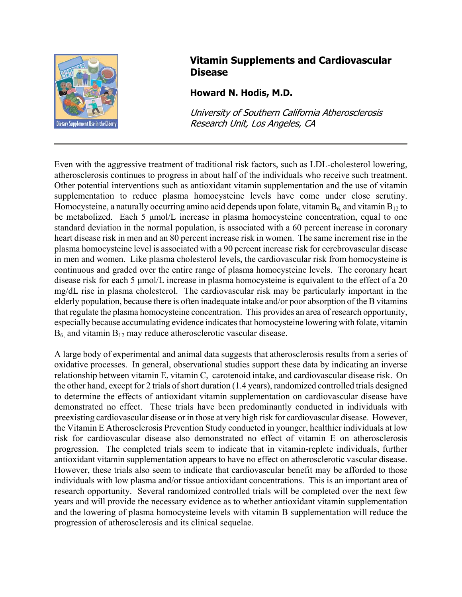

## **Vitamin Supplements and Cardiovascular Disease**

## **Howard N. Hodis, M.D.**

University of Southern California Atherosclerosis Research Unit, Los Angeles, CA

Even with the aggressive treatment of traditional risk factors, such as LDL-cholesterol lowering, atherosclerosis continues to progress in about half of the individuals who receive such treatment. Other potential interventions such as antioxidant vitamin supplementation and the use of vitamin supplementation to reduce plasma homocysteine levels have come under close scrutiny. Homocysteine, a naturally occurring amino acid depends upon folate, vitamin  $B_6$  and vitamin  $B_{12}$  to be metabolized. Each 5 µmol/L increase in plasma homocysteine concentration, equal to one standard deviation in the normal population, is associated with a 60 percent increase in coronary heart disease risk in men and an 80 percent increase risk in women. The same increment rise in the plasma homocysteine level is associated with a 90 percent increase risk for cerebrovascular disease in men and women. Like plasma cholesterol levels, the cardiovascular risk from homocysteine is continuous and graded over the entire range of plasma homocysteine levels. The coronary heart disease risk for each 5  $\mu$ mol/L increase in plasma homocysteine is equivalent to the effect of a 20 mg/dL rise in plasma cholesterol. The cardiovascular risk may be particularly important in the elderly population, because there is often inadequate intake and/or poor absorption of the B vitamins that regulate the plasma homocysteine concentration. This provides an area of research opportunity, especially because accumulating evidence indicates that homocysteine lowering with folate, vitamin  $B_6$ , and vitamin  $B_{12}$  may reduce atherosclerotic vascular disease.

A large body of experimental and animal data suggests that atherosclerosis results from a series of oxidative processes. In general, observational studies support these data by indicating an inverse relationship between vitamin E, vitamin C, carotenoid intake, and cardiovascular disease risk. On the other hand, except for 2 trials of short duration (1.4 years), randomized controlled trials designed to determine the effects of antioxidant vitamin supplementation on cardiovascular disease have demonstrated no effect. These trials have been predominantly conducted in individuals with preexisting cardiovascular disease or in those at very high risk for cardiovascular disease. However, the Vitamin E Atherosclerosis Prevention Study conducted in younger, healthier individuals at low risk for cardiovascular disease also demonstrated no effect of vitamin E on atherosclerosis progression. The completed trials seem to indicate that in vitamin-replete individuals, further antioxidant vitamin supplementation appears to have no effect on atherosclerotic vascular disease. However, these trials also seem to indicate that cardiovascular benefit may be afforded to those individuals with low plasma and/or tissue antioxidant concentrations. This is an important area of research opportunity. Several randomized controlled trials will be completed over the next few years and will provide the necessary evidence as to whether antioxidant vitamin supplementation and the lowering of plasma homocysteine levels with vitamin B supplementation will reduce the progression of atherosclerosis and its clinical sequelae.